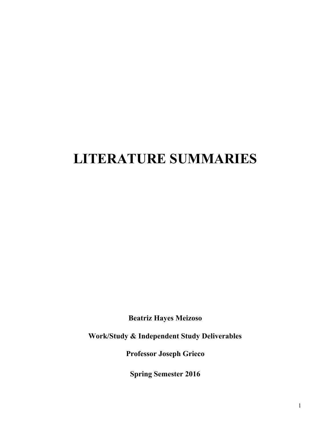## **LITERATURE SUMMARIES**

**Beatriz Hayes Meizoso**

**Work/Study & Independent Study Deliverables**

**Professor Joseph Grieco**

**Spring Semester 2016**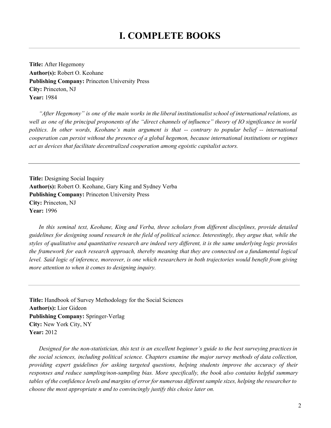## **I. COMPLETE BOOKS**

**Title:** After Hegemony **Author(s):**Robert O. Keohane **Publishing Company:** Princeton University Press **City:** Princeton, NJ **Year:**1984

"After Hegemony" is one of the main works in the liberal institutionalist school of international relations, as well as one of the principal proponents of the "direct channels of influence" theory of IO significance in world *politics. In other words, Keohane's main argument is that contrary to popular belief international cooperation can persist without the presence of a global hegemon, because international institutions or regimes act as devices that facilitate decentralized cooperation among egoistic capitalist actors.*

**Title:** Designing Social Inquiry **Author(s):**Robert O. Keohane, Gary King and Sydney Verba **Publishing Company:** Princeton University Press **City:** Princeton, NJ **Year:**1996

*In this seminal text, Keohane, King and Verba, three scholars from dif erent disciplines, provide detailed* guidelines for designing sound research in the field of political science. Interestingly, they argue that, while the styles of qualitative and quantitative research are indeed very different, it is the same underlying logic provides *the framework for each research approach, thereby meaning that they are connected on a fundamental logical* level. Said logic of inference, moreover, is one which researchers in both trajectories would benefit from giving *more attention to when it comes to designing inquiry.*

**Title:** Handbook of Survey Methodology for the Social Sciences **Author(s):**Lior Gideon **Publishing Company:** Springer-Verlag **City:** New York City, NY **Year:**2012

Designed for the non-statistician, this text is an excellent beginner's guide to the best surveying practices in *the social sciences, including political science. Chapters examine the major survey methods of data collection, providing expert guidelines for asking targeted questions, helping students improve the accuracy of their responses and reduce sampling/nonsampling bias. More specifically, the book also contains helpful summary* tables of the confidence levels and margins of error for numerous different sample sizes, helping the researcher to *choose the most appropriate n and to convincingly justify this choice later on.*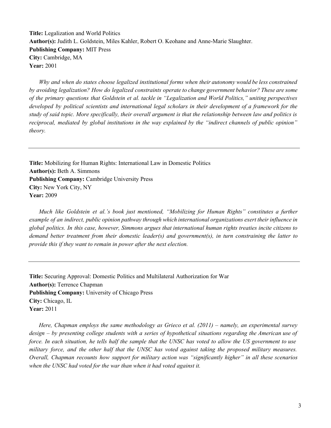**Title:** Legalization and World Politics Author(s): Judith L. Goldstein, Miles Kahler, Robert O. Keohane and Anne-Marie Slaughter. **Publishing Company:** MIT Press **City:** Cambridge, MA **Year:**2001

*Why and when do states choose legalized institutional forms when their autonomy would be less constrained by avoiding legalization? How do legalized constraints operate to change government behavior? These are some of the primary questions that Goldstein et al. tackle in "Legalization and World Politics," uniting perspectives developed by political scientists and international legal scholars in their development of a framework for the* study of said topic. More specifically, their overall argument is that the relationship between law and politics is *reciprocal, mediated by global institutions in the way explained by the "indirect channels of public opinion" theory.*

**Title:** Mobilizing for Human Rights: International Law in Domestic Politics Author(s): Beth A. Simmons **Publishing Company:** Cambridge University Press **City:** New York City, NY **Year:**2009

*Much like Goldstein et al.'s book just mentioned, "Mobilizing for Human Rights" constitutes a further example of an indirect, public opinion pathway through which international organizations exert their influence in* global politics. In this case, however, Simmons argues that international human rights treaties incite citizens to *demand better treatment from their domestic leader(s) and government(s), in turn constraining the latter to provide this if they want to remain in power after the next election.*

**Title:** Securing Approval: Domestic Politics and Multilateral Authorization for War **Author(s):**Terrence Chapman **Publishing Company:** University of Chicago Press **City:** Chicago, IL **Year:**2011

*Here, Chapman employs the same methodology as Grieco et al. (2011) – namely, an experimental survey*  $design - by presenting college students with a series of hypothetical situations regarding the American use of$ force. In each situation, he tells half the sample that the UNSC has voted to allow the US government to use *military force, and the other half that the UNSC has voted against taking the proposed military measures. Overall, Chapman recounts how support for military action was "significantly higher" in all these scenarios when the UNSC had voted for the war than when it had voted against it.*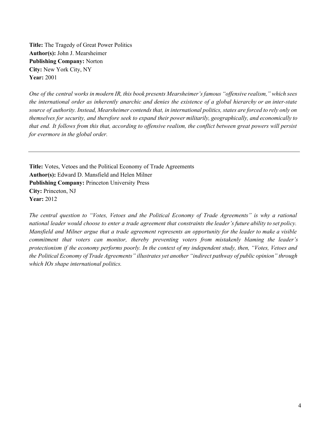**Title:** The Tragedy of Great Power Politics **Author(s):**John J. Mearsheimer **Publishing Company:** Norton **City:** New York City, NY **Year:**2001

One of the central works in modern IR, this book presents Mearsheimer's famous "offensive realism," which sees the international order as inherently anarchic and denies the existence of a global hierarchy or an inter-state source of authority. Instead, Mearsheimer contends that, in international politics, states are forced to rely only on *themselves for security, and therefore seek to expand their power militarily, geographically, and economically to* that end. It follows from this that, according to offensive realism, the conflict between great powers will persist *for evermore in the global order.*

**Title:** Votes, Vetoes and the Political Economy of Trade Agreements **Author(s):**Edward D. Mansfield and Helen Milner **Publishing Company:** Princeton University Press **City:** Princeton, NJ **Year:**2012

*The central question to "Votes, Vetoes and the Political Economy of Trade Agreements" is why a rational* national leader would choose to enter a trade agreement that constraints the leader's future ability to set policy. Mansfield and Milner argue that a trade agreement represents an opportunity for the leader to make a visible *commitment that voters can monitor, thereby preventing voters from mistakenly blaming the leader's* protectionism if the economy performs poorly. In the context of my independent study, then, "Votes, Vetoes and *the Political Economy of Trade Agreements" illustrates yet another "indirect pathway of public opinion" through which IOs shape international politics.*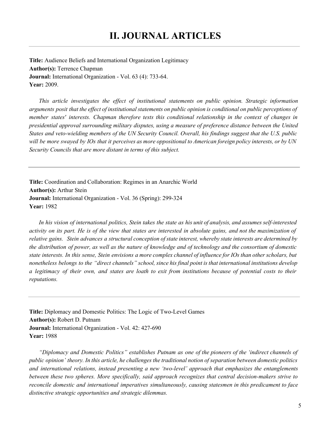**Title:** Audience Beliefs and International Organization Legitimacy **Author(s):**Terrence Chapman **Journal:** International Organization - Vol. 63 (4): 733-64. **Year:**2009.

*This article investigates the ef ect of institutional statements on public opinion. Strategic information* arguments posit that the effect of institutional statements on public opinion is conditional on public perceptions of *member states' interests. Chapman therefore tests this conditional relationship in the context of changes in presidential approval surrounding military disputes, using a measure of preference distance between the United* States and veto-wielding members of the UN Security Council. Overall, his findings suggest that the U.S. public will be more swayed by IOs that it perceives as more oppositional to American foreign policy interests, or by UN *Security Councils that are more distant in terms of this subject.*

**Title:** Coordination and Collaboration: Regimes in an Anarchic World **Author(s):** Arthur Stein **Journal:** International Organization - Vol. 36 (Spring): 299-324 **Year:** 1982

In his vision of international politics, Stein takes the state as his unit of analysis, and assumes self-interested activity on its part. He is of the view that states are interested in absolute gains, and not the maximization of relative gains. Stein advances a structural conception of state interest, whereby state interests are determined by the distribution of power, as well as the nature of knowledge and of technology and the consortium of domestic state interests. In this sense, Stein envisions a more complex channel of influence for IOs than other scholars, but nonetheless belongs to the "direct channels" school, since his final point is that international institutions develop a legitimacy of their own, and states are loath to exit from institutions because of potential costs to their *reputations.*

**Title:** Diplomacy and Domestic Politics: The Logic of Two-Level Games **Author(s):**Robert D. Putnam **Journal:** International Organization - Vol. 42: 427-690 **Year:**1988

*"Diplomacy and Domestic Politics" establishes Putnam as one of the pioneers of the 'indirect channels of* public opinion' theory. In this article, he challenges the traditional notion of separation between domestic politics *and international relations, instead presenting a new 'twolevel' approach that emphasizes the entanglements between these two spheres. More specifically, said approach recognizes that central decisionmakers strive to reconcile domestic and international imperatives simultaneously, causing statesmen in this predicament to face distinctive strategic opportunities and strategic dilemmas.*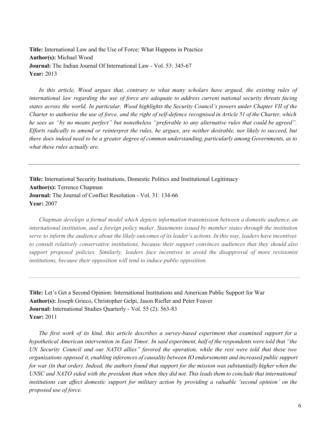**Title:** International Law and the Use of Force: What Happens in Practice **Author(s):**Michael Wood **Journal:** The Indian Journal Of International Law - Vol. 53: 345-67 **Year:**2013

*In this article, Wood argues that, contrary to what many scholars have argued, the existing rules of international law regarding the use of force are adequate to address current national security threats facing* states across the world. In particular, Wood highlights the Security Council's powers under Chapter VII of the Charter to authorise the use of force, and the right of self-defence recognised in Article 51 of the Charter, which he sees as "by no means perfect" but nonetheless "preferable to any alternative rules that could be agreed". Efforts radically to amend or reinterpret the rules, he argues, are neither desirable, nor likely to succeed, but there does indeed need to be a greater degree of common understanding, particularly among Governments, as to *what these rules actually are.*

**Title:** International Security Institutions, Domestic Politics and Institutional Legitimacy **Author(s):**Terrence Chapman **Journal:** The Journal of Conflict Resolution - Vol. 31: 134-66 **Year:**2007

*Chapman develops a formal model which depicts information transmission between a domestic audience, an international institution, and a foreign policy maker. Statements issued by member states through the institution* serve to inform the audience about the likely outcomes of its leader's actions. In this way, leaders have incentives *to consult relatively conservative institutions, because their support convinces audiences that they should also support proposed policies. Similarly, leaders face incentives to avoid the disapproval of more revisionist institutions, because their opposition will tend to induce public opposition.*

**Title:** Let's Get a Second Opinion: International Institutions and American Public Support for War **Author(s):**Joseph Grieco, Christopher Gelpi, Jason Riefler and Peter Feaver **Journal:** International Studies Quarterly - Vol. 55 (2): 563-83 **Year:**2011

*The first work of its kind, this article describes a surveybased experiment that examined support for a* hypothetical American intervention in East Timor. In said experiment, half of the respondents were told that "the UN Security Council and our NATO allies" favored the operation, while the rest were told that these two *organizations opposed it, enabling inferences of causality between IO endorsements and increased public support* for war (in that order). Indeed, the authors found that support for the mission was substantially higher when the UNSC and NATO sided with the president than when they did not. This leads them to conclude that international institutions can affect domestic support for military action by providing a valuable 'second opinion' on the *proposed use of force.*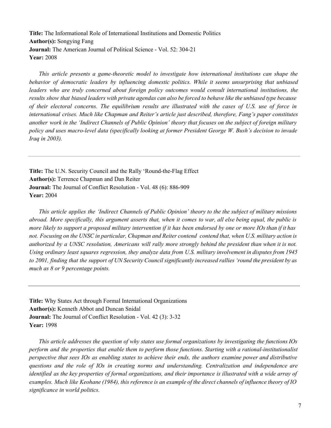**Title:** The Informational Role of International Institutions and Domestic Politics **Author(s):**Songying Fang **Journal:** The American Journal of Political Science - Vol. 52: 304-21 **Year:**2008

*This article presents a gametheoretic model to investigate how international institutions can shape the behavior of democratic leaders by influencing domestic politics. While it seems unsurprising that unbiased leaders who are truly concerned about foreign policy outcomes would consult international institutions, the* results show that biased leaders with private agendas can also be forced to behave like the unbiased type because of their electoral concerns. The equilibrium results are illustrated with the cases of U.S. use of force in *international crises. Much like Chapman and Reiter's article just described, therefore, Fang's paper constitutes* another work in the 'Indirect Channels of Public Opinion' theory that focuses on the subject of foreign military *policy and uses macrolevel data (specifically looking at former President George W. Bush's decision to invade Iraq in 2003).*

**Title:** The U.N. Security Council and the Rally 'Round-the-Flag Effect **Author(s):**Terrence Chapman and Dan Reiter **Journal:** The Journal of Conflict Resolution - Vol. 48 (6): 886-909 **Year:**2004

This article applies the 'Indirect Channels of Public Opinion' theory to the the subject of military missions abroad. More specifically, this argument asserts that, when it comes to war, all else being equal, the public is more likely to support a proposed military intervention if it has been endorsed by one or more IOs than if it has not. Focusing on the UNSC in particular, Chapman and Reiter contend contend that, when U.S. military action is authorized by a UNSC resolution, Americans will rally more strongly behind the president than when it is not. *Using ordinary least squares regression, they analyze data from U.S. military involvement in disputes from 1945* to 2001, finding that the support of UN Security Council significantly increased rallies 'round the president by as *much as 8 or 9 percentage points.*

**Title:** Why States Act through Formal International Organizations **Author(s):** Kenneth Abbot and Duncan Snidal **Journal:** The Journal of Conflict Resolution - Vol. 42 (3): 3-32 **Year:** 1998

*This article addresses the question of why states use formal organizations by investigating the functions IOs perform and the properties that enable them to perform those functions. Starting with a rationalinstitutionalist* perspective that sees IOs as enabling states to achieve their ends, the authors examine power and distributive *questions and the role of IOs in creating norms and understanding. Centralization and independence are* identified as the key properties of formal organizations, and their importance is illustrated with a wide array of examples. Much like Keohane (1984), this reference is an example of the direct channels of influence theory of IO *significance in world politics.*